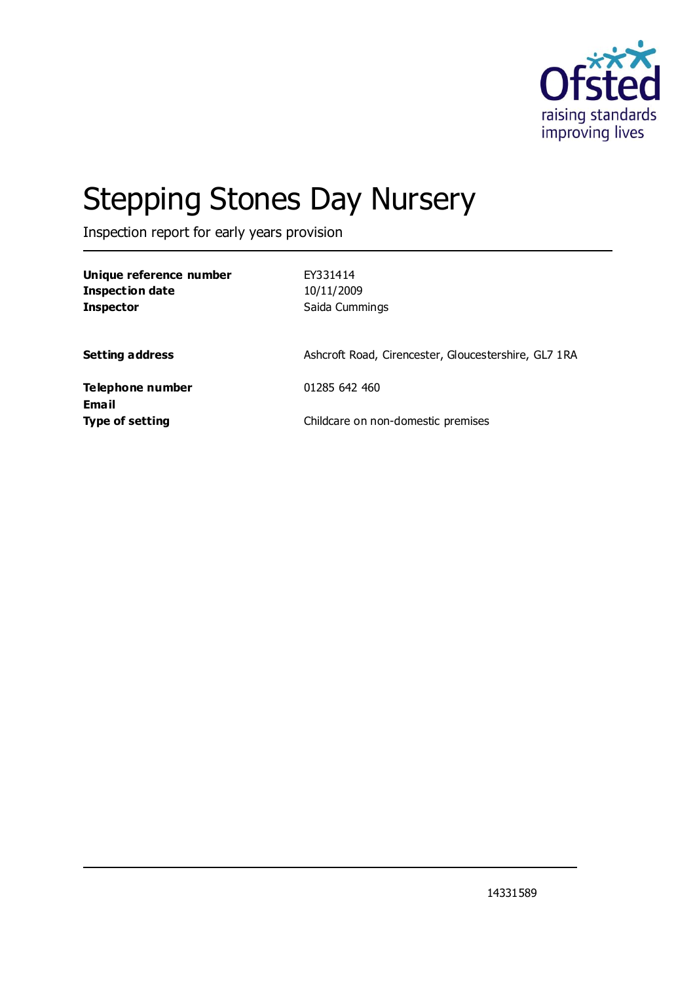

# Stepping Stones Day Nursery

Inspection report for early years provision

| Unique reference number<br><b>Inspection date</b><br><b>Inspector</b> | EY331414<br>10/11/2009<br>Saida Cummings             |
|-----------------------------------------------------------------------|------------------------------------------------------|
| <b>Setting address</b>                                                | Ashcroft Road, Cirencester, Gloucestershire, GL7 1RA |
| Telephone number                                                      | 01285 642 460                                        |
| Email<br><b>Type of setting</b>                                       | Childcare on non-domestic premises                   |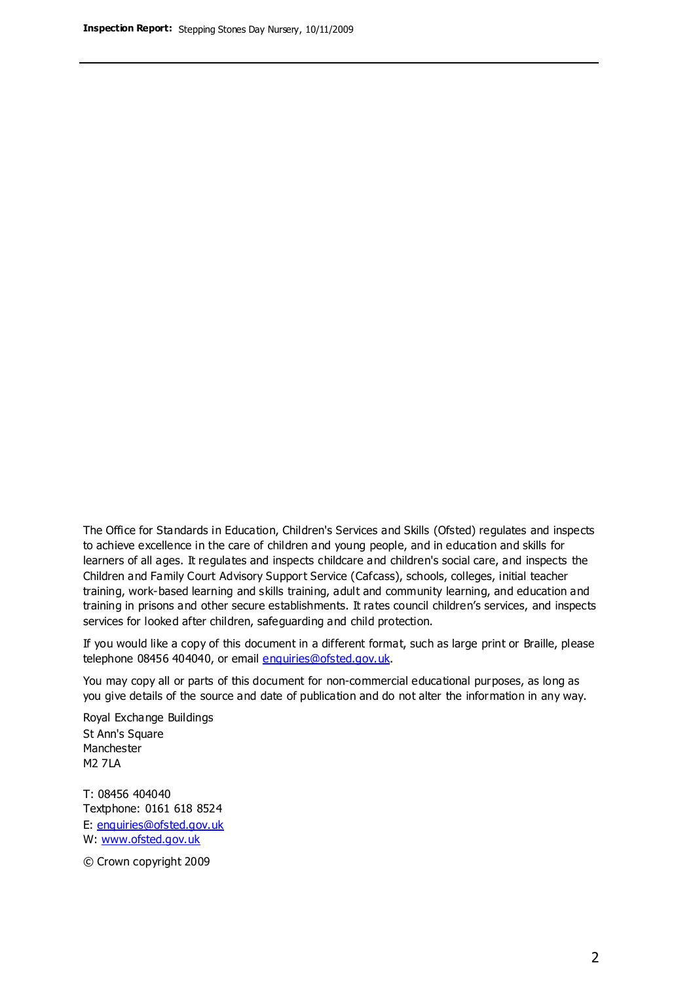The Office for Standards in Education, Children's Services and Skills (Ofsted) regulates and inspects to achieve excellence in the care of children and young people, and in education and skills for learners of all ages. It regulates and inspects childcare and children's social care, and inspects the Children and Family Court Advisory Support Service (Cafcass), schools, colleges, initial teacher training, work-based learning and skills training, adult and community learning, and education and training in prisons and other secure establishments. It rates council children's services, and inspects services for looked after children, safeguarding and child protection.

If you would like a copy of this document in a different format, such as large print or Braille, please telephone 08456 404040, or email enquiries@ofsted.gov.uk.

You may copy all or parts of this document for non-commercial educational purposes, as long as you give details of the source and date of publication and do not alter the information in any way.

Royal Exchange Buildings St Ann's Square Manchester M2 7LA

T: 08456 404040 Textphone: 0161 618 8524 E: enquiries@ofsted.gov.uk W: [www.ofsted.gov.uk](http://www.ofsted.gov.uk/)

© Crown copyright 2009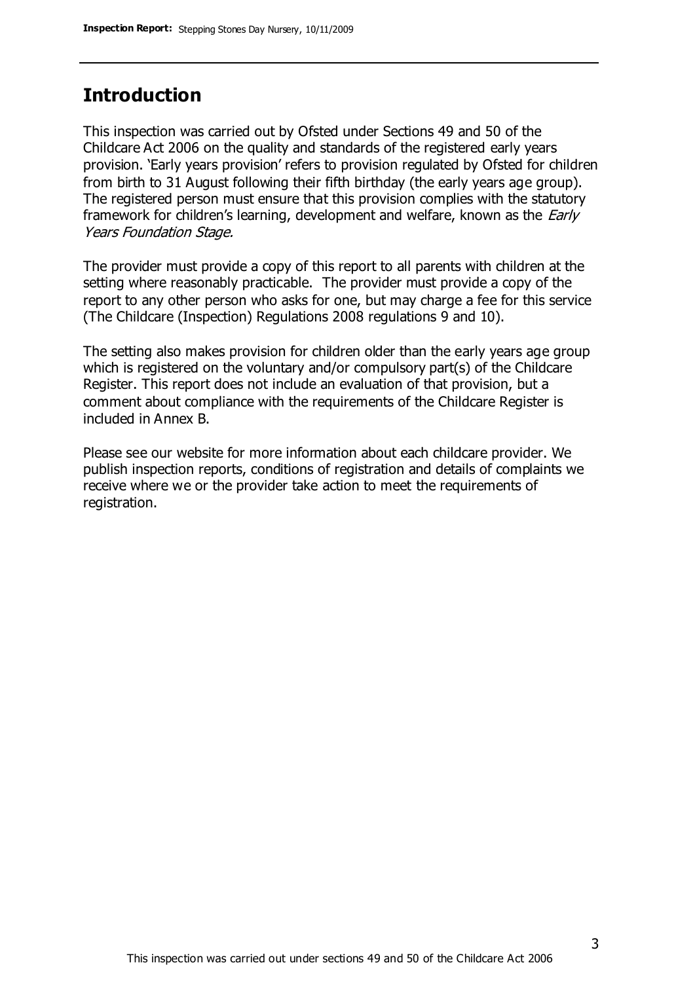### **Introduction**

This inspection was carried out by Ofsted under Sections 49 and 50 of the Childcare Act 2006 on the quality and standards of the registered early years provision. 'Early years provision' refers to provision regulated by Ofsted for children from birth to 31 August following their fifth birthday (the early years age group). The registered person must ensure that this provision complies with the statutory framework for children's learning, development and welfare, known as the *Early* Years Foundation Stage.

The provider must provide a copy of this report to all parents with children at the setting where reasonably practicable. The provider must provide a copy of the report to any other person who asks for one, but may charge a fee for this service (The Childcare (Inspection) Regulations 2008 regulations 9 and 10).

The setting also makes provision for children older than the early years age group which is registered on the voluntary and/or compulsory part(s) of the Childcare Register. This report does not include an evaluation of that provision, but a comment about compliance with the requirements of the Childcare Register is included in Annex B.

Please see our website for more information about each childcare provider. We publish inspection reports, conditions of registration and details of complaints we receive where we or the provider take action to meet the requirements of registration.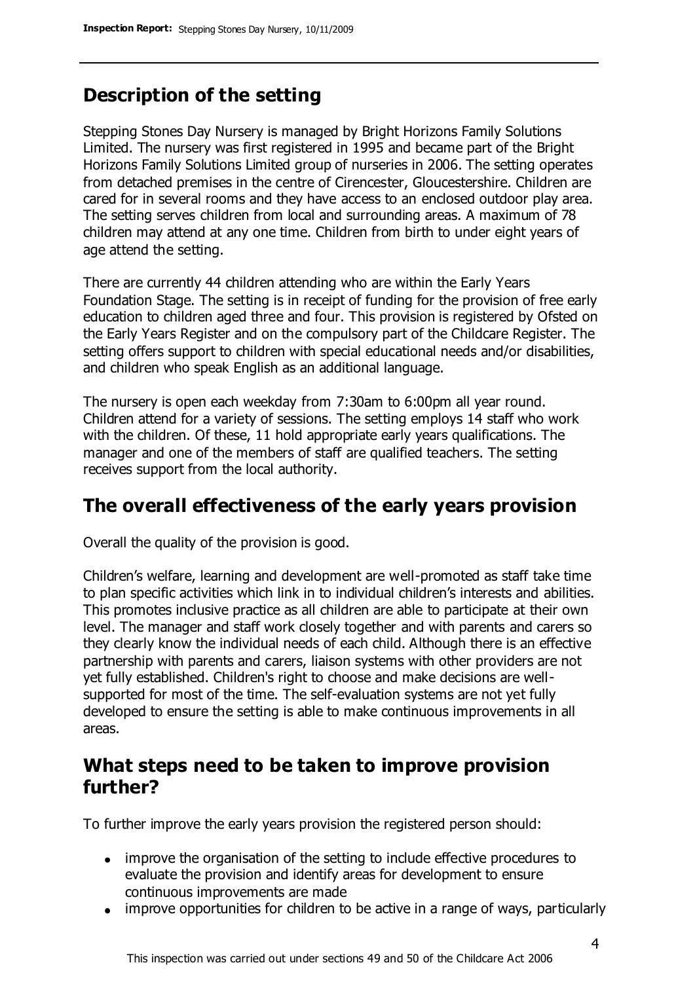### **Description of the setting**

Stepping Stones Day Nursery is managed by Bright Horizons Family Solutions Limited. The nursery was first registered in 1995 and became part of the Bright Horizons Family Solutions Limited group of nurseries in 2006. The setting operates from detached premises in the centre of Cirencester, Gloucestershire. Children are cared for in several rooms and they have access to an enclosed outdoor play area. The setting serves children from local and surrounding areas. A maximum of 78 children may attend at any one time. Children from birth to under eight years of age attend the setting.

There are currently 44 children attending who are within the Early Years Foundation Stage. The setting is in receipt of funding for the provision of free early education to children aged three and four. This provision is registered by Ofsted on the Early Years Register and on the compulsory part of the Childcare Register. The setting offers support to children with special educational needs and/or disabilities, and children who speak English as an additional language.

The nursery is open each weekday from 7:30am to 6:00pm all year round. Children attend for a variety of sessions. The setting employs 14 staff who work with the children. Of these, 11 hold appropriate early years qualifications. The manager and one of the members of staff are qualified teachers. The setting receives support from the local authority.

### **The overall effectiveness of the early years provision**

Overall the quality of the provision is good.

Children's welfare, learning and development are well-promoted as staff take time to plan specific activities which link in to individual children's interests and abilities. This promotes inclusive practice as all children are able to participate at their own level. The manager and staff work closely together and with parents and carers so they clearly know the individual needs of each child. Although there is an effective partnership with parents and carers, liaison systems with other providers are not yet fully established. Children's right to choose and make decisions are wellsupported for most of the time. The self-evaluation systems are not yet fully developed to ensure the setting is able to make continuous improvements in all areas.

#### **What steps need to be taken to improve provision further?**

To further improve the early years provision the registered person should:

- improve the organisation of the setting to include effective procedures to evaluate the provision and identify areas for development to ensure continuous improvements are made
- improve opportunities for children to be active in a range of ways, particularly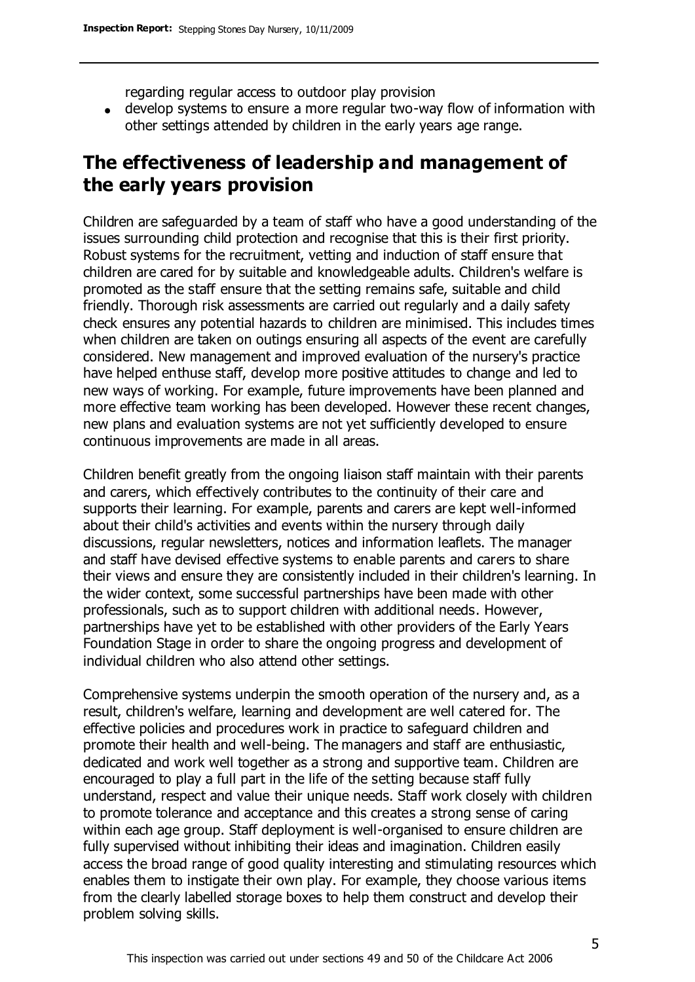regarding regular access to outdoor play provision

develop systems to ensure a more regular two-way flow of information with other settings attended by children in the early years age range.

### **The effectiveness of leadership and management of the early years provision**

Children are safeguarded by a team of staff who have a good understanding of the issues surrounding child protection and recognise that this is their first priority. Robust systems for the recruitment, vetting and induction of staff ensure that children are cared for by suitable and knowledgeable adults. Children's welfare is promoted as the staff ensure that the setting remains safe, suitable and child friendly. Thorough risk assessments are carried out regularly and a daily safety check ensures any potential hazards to children are minimised. This includes times when children are taken on outings ensuring all aspects of the event are carefully considered. New management and improved evaluation of the nursery's practice have helped enthuse staff, develop more positive attitudes to change and led to new ways of working. For example, future improvements have been planned and more effective team working has been developed. However these recent changes, new plans and evaluation systems are not yet sufficiently developed to ensure continuous improvements are made in all areas.

Children benefit greatly from the ongoing liaison staff maintain with their parents and carers, which effectively contributes to the continuity of their care and supports their learning. For example, parents and carers are kept well-informed about their child's activities and events within the nursery through daily discussions, regular newsletters, notices and information leaflets. The manager and staff have devised effective systems to enable parents and carers to share their views and ensure they are consistently included in their children's learning. In the wider context, some successful partnerships have been made with other professionals, such as to support children with additional needs. However, partnerships have yet to be established with other providers of the Early Years Foundation Stage in order to share the ongoing progress and development of individual children who also attend other settings.

Comprehensive systems underpin the smooth operation of the nursery and, as a result, children's welfare, learning and development are well catered for. The effective policies and procedures work in practice to safeguard children and promote their health and well-being. The managers and staff are enthusiastic, dedicated and work well together as a strong and supportive team. Children are encouraged to play a full part in the life of the setting because staff fully understand, respect and value their unique needs. Staff work closely with children to promote tolerance and acceptance and this creates a strong sense of caring within each age group. Staff deployment is well-organised to ensure children are fully supervised without inhibiting their ideas and imagination. Children easily access the broad range of good quality interesting and stimulating resources which enables them to instigate their own play. For example, they choose various items from the clearly labelled storage boxes to help them construct and develop their problem solving skills.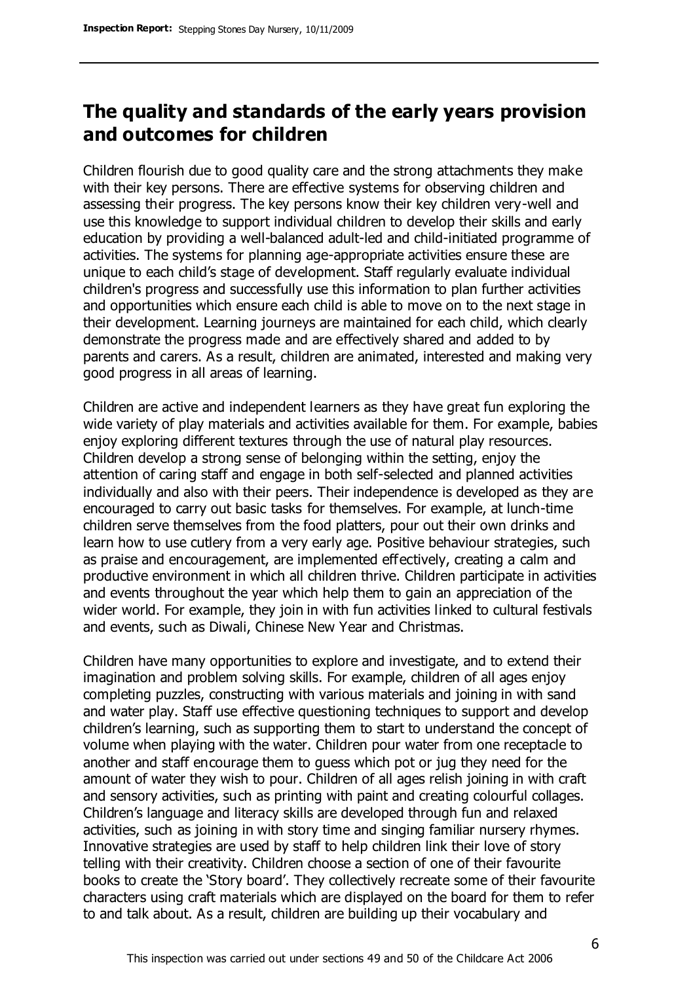### **The quality and standards of the early years provision and outcomes for children**

Children flourish due to good quality care and the strong attachments they make with their key persons. There are effective systems for observing children and assessing their progress. The key persons know their key children very-well and use this knowledge to support individual children to develop their skills and early education by providing a well-balanced adult-led and child-initiated programme of activities. The systems for planning age-appropriate activities ensure these are unique to each child's stage of development. Staff regularly evaluate individual children's progress and successfully use this information to plan further activities and opportunities which ensure each child is able to move on to the next stage in their development. Learning journeys are maintained for each child, which clearly demonstrate the progress made and are effectively shared and added to by parents and carers. As a result, children are animated, interested and making very good progress in all areas of learning.

Children are active and independent learners as they have great fun exploring the wide variety of play materials and activities available for them. For example, babies enjoy exploring different textures through the use of natural play resources. Children develop a strong sense of belonging within the setting, enjoy the attention of caring staff and engage in both self-selected and planned activities individually and also with their peers. Their independence is developed as they are encouraged to carry out basic tasks for themselves. For example, at lunch-time children serve themselves from the food platters, pour out their own drinks and learn how to use cutlery from a very early age. Positive behaviour strategies, such as praise and encouragement, are implemented effectively, creating a calm and productive environment in which all children thrive. Children participate in activities and events throughout the year which help them to gain an appreciation of the wider world. For example, they join in with fun activities linked to cultural festivals and events, such as Diwali, Chinese New Year and Christmas.

Children have many opportunities to explore and investigate, and to extend their imagination and problem solving skills. For example, children of all ages enjoy completing puzzles, constructing with various materials and joining in with sand and water play. Staff use effective questioning techniques to support and develop children's learning, such as supporting them to start to understand the concept of volume when playing with the water. Children pour water from one receptacle to another and staff encourage them to guess which pot or jug they need for the amount of water they wish to pour. Children of all ages relish joining in with craft and sensory activities, such as printing with paint and creating colourful collages. Children's language and literacy skills are developed through fun and relaxed activities, such as joining in with story time and singing familiar nursery rhymes. Innovative strategies are used by staff to help children link their love of story telling with their creativity. Children choose a section of one of their favourite books to create the 'Story board'. They collectively recreate some of their favourite characters using craft materials which are displayed on the board for them to refer to and talk about. As a result, children are building up their vocabulary and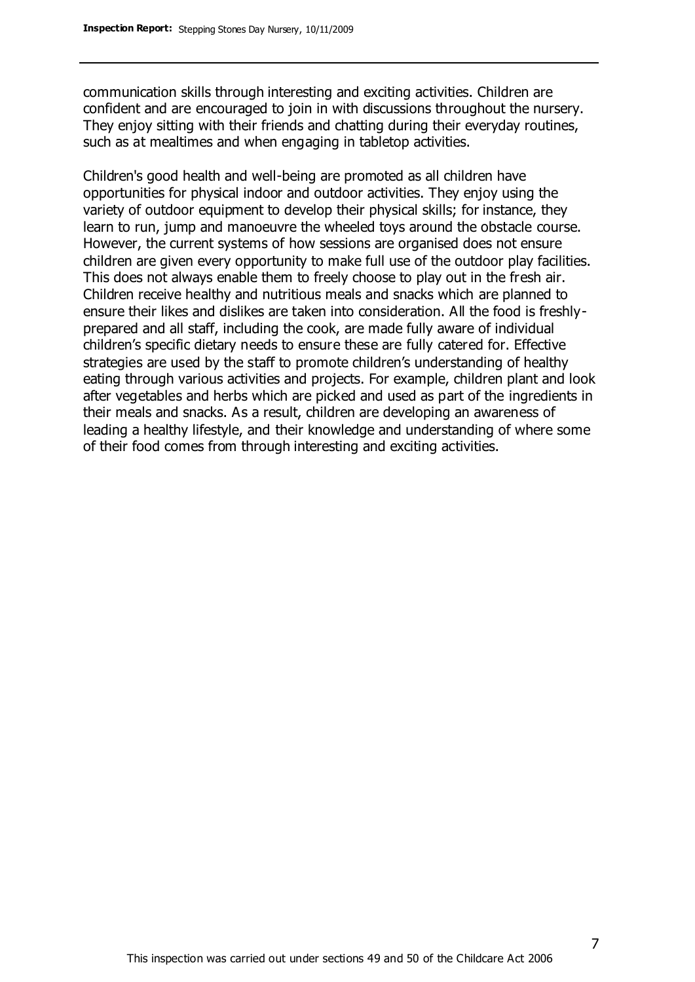communication skills through interesting and exciting activities. Children are confident and are encouraged to join in with discussions throughout the nursery. They enjoy sitting with their friends and chatting during their everyday routines, such as at mealtimes and when engaging in tabletop activities.

Children's good health and well-being are promoted as all children have opportunities for physical indoor and outdoor activities. They enjoy using the variety of outdoor equipment to develop their physical skills; for instance, they learn to run, jump and manoeuvre the wheeled toys around the obstacle course. However, the current systems of how sessions are organised does not ensure children are given every opportunity to make full use of the outdoor play facilities. This does not always enable them to freely choose to play out in the fresh air. Children receive healthy and nutritious meals and snacks which are planned to ensure their likes and dislikes are taken into consideration. All the food is freshlyprepared and all staff, including the cook, are made fully aware of individual children's specific dietary needs to ensure these are fully catered for. Effective strategies are used by the staff to promote children's understanding of healthy eating through various activities and projects. For example, children plant and look after vegetables and herbs which are picked and used as part of the ingredients in their meals and snacks. As a result, children are developing an awareness of leading a healthy lifestyle, and their knowledge and understanding of where some of their food comes from through interesting and exciting activities.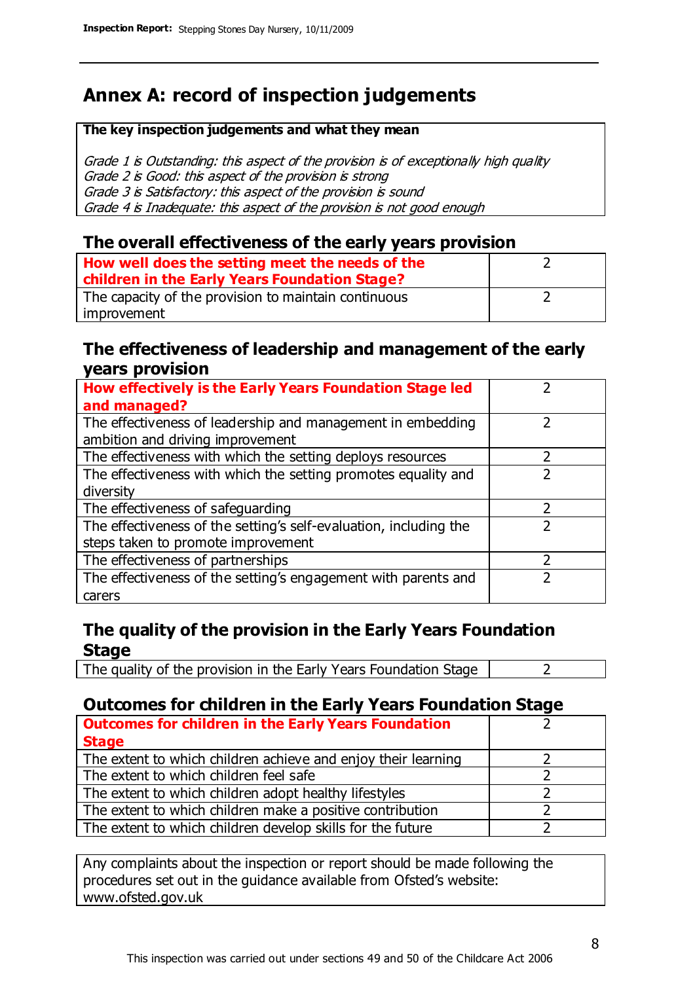## **Annex A: record of inspection judgements**

#### **The key inspection judgements and what they mean**

Grade 1 is Outstanding: this aspect of the provision is of exceptionally high quality Grade 2 is Good: this aspect of the provision is strong Grade 3 is Satisfactory: this aspect of the provision is sound Grade 4 is Inadequate: this aspect of the provision is not good enough

#### **The overall effectiveness of the early years provision**

| How well does the setting meet the needs of the<br>children in the Early Years Foundation Stage? |  |
|--------------------------------------------------------------------------------------------------|--|
| The capacity of the provision to maintain continuous                                             |  |
| improvement                                                                                      |  |

#### **The effectiveness of leadership and management of the early years provision**

| How effectively is the Early Years Foundation Stage led           |   |
|-------------------------------------------------------------------|---|
| and managed?                                                      |   |
| The effectiveness of leadership and management in embedding       |   |
| ambition and driving improvement                                  |   |
| The effectiveness with which the setting deploys resources        |   |
| The effectiveness with which the setting promotes equality and    |   |
| diversity                                                         |   |
| The effectiveness of safeguarding                                 | 2 |
| The effectiveness of the setting's self-evaluation, including the | 2 |
| steps taken to promote improvement                                |   |
| The effectiveness of partnerships                                 |   |
| The effectiveness of the setting's engagement with parents and    |   |
| carers                                                            |   |

#### **The quality of the provision in the Early Years Foundation Stage**

The quality of the provision in the Early Years Foundation Stage  $\vert$  2

#### **Outcomes for children in the Early Years Foundation Stage**

| <b>Outcomes for children in the Early Years Foundation</b>    |  |
|---------------------------------------------------------------|--|
| <b>Stage</b>                                                  |  |
| The extent to which children achieve and enjoy their learning |  |
| The extent to which children feel safe                        |  |
| The extent to which children adopt healthy lifestyles         |  |
| The extent to which children make a positive contribution     |  |
| The extent to which children develop skills for the future    |  |

Any complaints about the inspection or report should be made following the procedures set out in the guidance available from Ofsted's website: www.ofsted.gov.uk